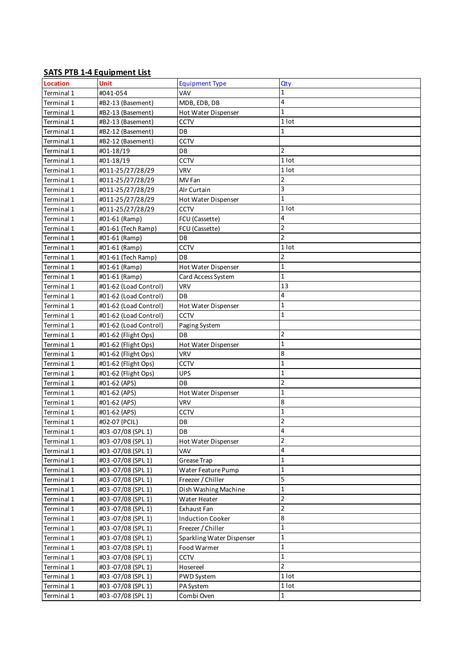## **SATS PTB 1-4 Equipment List**

| <b>Location</b> | <b>Unit</b>           | <b>Equipment Type</b>     | Qty                |
|-----------------|-----------------------|---------------------------|--------------------|
| Terminal 1      | #041-054              | VAV                       | 1                  |
| Terminal 1      | #B2-13 (Basement)     | MDB, EDB, DB              | 4                  |
| Terminal 1      | #B2-13 (Basement)     | Hot Water Dispenser       | $\mathbf{1}$       |
| Terminal 1      | #B2-13 (Basement)     | <b>CCTV</b>               | 1 lot              |
| Terminal 1      | #B2-12 (Basement)     | DB                        | 1                  |
| Terminal 1      | #B2-12 (Basement)     | CCTV                      |                    |
| Terminal 1      | #01-18/19             | DB                        | $\overline{2}$     |
| Terminal 1      | #01-18/19             | CCTV                      | $1$ lot            |
| Terminal 1      | #011-25/27/28/29      | <b>VRV</b>                | 1 lot              |
| Terminal 1      | #011-25/27/28/29      | MV Fan                    | $\overline{2}$     |
| Terminal 1      | #011-25/27/28/29      | Alr Curtain               | 3                  |
| Terminal 1      | #011-25/27/28/29      | Hot Water Dispenser       | $\mathbf{1}$       |
| Terminal 1      | #011-25/27/28/29      | <b>CCTV</b>               | 1 lot              |
| Terminal 1      | #01-61 (Ramp)         | FCU (Cassette)            | 4                  |
| Terminal 1      | #01-61 (Tech Ramp)    | FCU (Cassette)            | $\overline{2}$     |
| Terminal 1      | #01-61 (Ramp)         | DB                        | $\overline{2}$     |
| Terminal 1      | #01-61 (Ramp)         | <b>CCTV</b>               | 1 lot              |
| Terminal 1      | #01-61 (Tech Ramp)    | DB                        | $\overline{2}$     |
| Terminal 1      | #01-61 (Ramp)         | Hot Water Dispenser       | $\mathbf{1}$       |
| Terminal 1      | #01-61 (Ramp)         | Card Access System        | $\mathbf 1$        |
| Terminal 1      | #01-62 (Load Control) | <b>VRV</b>                | 13                 |
| Terminal 1      | #01-62 (Load Control) | DB                        | 4                  |
| Terminal 1      | #01-62 (Load Control) | Hot Water Dispenser       | $\mathbf{1}$       |
| Terminal 1      | #01-62 (Load Control) | <b>CCTV</b>               | $\mathbf{1}$       |
| Terminal 1      | #01-62 (Load Control) | Paging System             |                    |
| Terminal 1      | #01-62 (Flight Ops)   | DB                        | $\overline{2}$     |
| Terminal 1      | #01-62 (Flight Ops)   | Hot Water Dispenser       | $\mathbf{1}$       |
| Terminal 1      | #01-62 (Flight Ops)   | <b>VRV</b>                | 8                  |
| Terminal 1      | #01-62 (Flight Ops)   | CCTV                      | $\mathbf{1}$       |
| Terminal 1      | #01-62 (Flight Ops)   | <b>UPS</b>                | $\mathbf{1}$       |
| Terminal 1      | #01-62 (APS)          | DB                        | $\overline{2}$     |
| Terminal 1      | #01-62 (APS)          | Hot Water Dispenser       | $\mathbf{1}$       |
| Terminal 1      | #01-62 (APS)          | <b>VRV</b>                | 8                  |
| Terminal 1      | #01-62 (APS)          | <b>CCTV</b>               | $\mathbf{1}$       |
| Terminal 1      | #02-07 (PCIL)         | DB                        | $\overline{2}$     |
| Terminal 1      | #03 -07/08 (SPL 1)    | DB                        | 4                  |
| Terminal 1      | #03 -07/08 (SPL 1)    | Hot Water Dispenser       | $\overline{2}$     |
| Terminal 1      | #03 -07/08 (SPL 1)    | VAV                       | 4                  |
| Terminal 1      | #03 -07/08 (SPL 1)    | Grease Trap               | $\mathbf{1}$       |
| Terminal 1      | #03 -07/08 (SPL 1)    | Water Feature Pump        | $\mathbf 1$        |
| Terminal 1      | #03 -07/08 (SPL 1)    | Freezer / Chiller         | 5                  |
| Terminal 1      | #03 -07/08 (SPL 1)    | Dish Washing Machine      | $\mathbf 1$        |
| Terminal 1      | #03 -07/08 (SPL 1)    | Water Heater              | $\overline{2}$     |
| Terminal 1      | #03 -07/08 (SPL 1)    | Exhaust Fan               | $\overline{2}$     |
| Terminal 1      | #03 -07/08 (SPL 1)    | <b>Induction Cooker</b>   | 8                  |
| Terminal 1      | #03-07/08 (SPL 1)     | Freezer / Chiller         | $\mathbf 1$        |
| Terminal 1      | #03 -07/08 (SPL 1)    | Sparkling Water Dispenser | $\mathbf 1$        |
| Terminal 1      | #03 -07/08 (SPL 1)    | Food Warmer               | $\mathbf 1$        |
| Terminal 1      | #03 -07/08 (SPL 1)    | CCTV                      | $\mathbf 1$        |
| Terminal 1      | #03 -07/08 (SPL 1)    | Hosereel                  | $\overline{2}$     |
| Terminal 1      | #03 -07/08 (SPL 1)    | <b>PWD System</b>         | $\overline{1}$ lot |
| Terminal 1      | #03 -07/08 (SPL 1)    | PA System                 | 1 lot              |
| Terminal 1      | #03-07/08 (SPL 1)     | Combi Oven                | $\mathbf 1$        |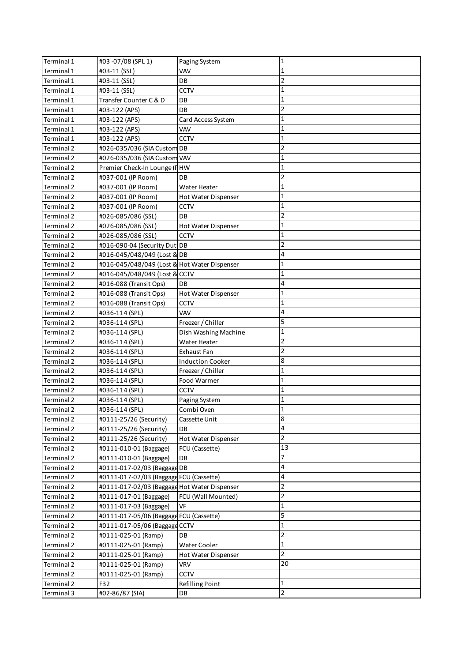| $\mathbf{1}$<br>Terminal 1<br>#03-11 (SSL)<br>VAV<br>$\overline{2}$<br>Terminal 1<br>#03-11 (SSL)<br>DB<br>CCTV<br>1<br>Terminal 1<br>#03-11 (SSL)<br>1<br>Terminal 1<br>Transfer Counter C & D<br>DB<br>$\overline{2}$<br>#03-122 (APS)<br>DB<br>Terminal 1<br>$\mathbf{1}$<br>Terminal 1<br>#03-122 (APS)<br>Card Access System<br>VAV<br>1<br>Terminal 1<br>#03-122 (APS)<br>CCTV<br>1<br>Terminal 1<br>#03-122 (APS)<br>$\overline{2}$<br>Terminal 2<br>#026-035/036 (SIA Custom DB<br>$\mathbf{1}$<br>#026-035/036 (SIA Custom VAV<br>Terminal 2<br>$\mathbf{1}$<br>Premier Check-In Lounge (FHW<br>Terminal 2<br>$\overline{2}$<br>#037-001 (IP Room)<br>DB<br>Terminal 2<br>1<br>Terminal 2<br>#037-001 (IP Room)<br>Water Heater<br>1<br>#037-001 (IP Room)<br>Terminal 2<br>Hot Water Dispenser<br>1<br>#037-001 (IP Room)<br><b>CCTV</b><br>Terminal 2<br>$\overline{2}$<br>Terminal 2<br>#026-085/086 (SSL)<br>DB<br>1<br>#026-085/086 (SSL)<br>Terminal 2<br>Hot Water Dispenser<br>$\mathbf 1$<br>CCTV<br>Terminal 2<br>#026-085/086 (SSL)<br>$\overline{2}$<br>Terminal 2<br>#016-090-04 (Security Dut DB<br>4<br>#016-045/048/049 (Lost & DB<br>Terminal 2<br>$\mathbf 1$<br>#016-045/048/049 (Lost & Hot Water Dispenser<br>Terminal 2<br>$\mathbf 1$<br>#016-045/048/049 (Lost & CCTV<br>Terminal 2<br>4<br>Terminal 2<br>#016-088 (Transit Ops)<br>DB<br>1<br>Terminal 2<br>#016-088 (Transit Ops)<br>Hot Water Dispenser<br>$\mathbf{1}$<br>#016-088 (Transit Ops)<br><b>CCTV</b><br>Terminal 2<br>4<br>VAV<br>Terminal 2<br>#036-114 (SPL)<br>5<br>Terminal 2<br>Freezer / Chiller<br>#036-114 (SPL)<br>$\mathbf{1}$<br>Terminal 2<br>Dish Washing Machine<br>#036-114 (SPL)<br>$\overline{2}$<br>Terminal 2<br>#036-114 (SPL)<br>Water Heater<br>$\overline{2}$<br>Terminal 2<br>#036-114 (SPL)<br>Exhaust Fan<br>8<br>Terminal 2<br>#036-114 (SPL)<br><b>Induction Cooker</b><br>$\mathbf 1$<br>Terminal 2<br>#036-114 (SPL)<br>Freezer / Chiller<br>$\mathbf 1$<br>Terminal 2<br>#036-114 (SPL)<br>Food Warmer<br>$\mathbf{1}$<br>CCTV<br>Terminal 2<br>#036-114 (SPL)<br>$\mathbf{1}$<br>#036-114 (SPL)<br>Terminal 2<br>Paging System<br>#036-114 (SPL)<br>Combi Oven<br>Ŧ<br>8<br>#0111-25/26 (Security)<br>Cassette Unit<br>Terminal 2<br>4<br>Terminal 2<br>#0111-25/26 (Security)<br>DB<br>$\overline{2}$<br>Terminal 2<br>#0111-25/26 (Security)<br>Hot Water Dispenser<br>13<br>Terminal 2<br>FCU (Cassette)<br>#0111-010-01 (Baggage)<br>7<br>Terminal 2<br>#0111-010-01 (Baggage)<br>DB |  |
|--------------------------------------------------------------------------------------------------------------------------------------------------------------------------------------------------------------------------------------------------------------------------------------------------------------------------------------------------------------------------------------------------------------------------------------------------------------------------------------------------------------------------------------------------------------------------------------------------------------------------------------------------------------------------------------------------------------------------------------------------------------------------------------------------------------------------------------------------------------------------------------------------------------------------------------------------------------------------------------------------------------------------------------------------------------------------------------------------------------------------------------------------------------------------------------------------------------------------------------------------------------------------------------------------------------------------------------------------------------------------------------------------------------------------------------------------------------------------------------------------------------------------------------------------------------------------------------------------------------------------------------------------------------------------------------------------------------------------------------------------------------------------------------------------------------------------------------------------------------------------------------------------------------------------------------------------------------------------------------------------------------------------------------------------------------------------------------------------------------------------------------------------------------------------------------------------------------------------------------------------------------------------------------------------------------------------------------------------------------------------------------------------------------------------------------------------------------------------------------------------------------------------|--|
|                                                                                                                                                                                                                                                                                                                                                                                                                                                                                                                                                                                                                                                                                                                                                                                                                                                                                                                                                                                                                                                                                                                                                                                                                                                                                                                                                                                                                                                                                                                                                                                                                                                                                                                                                                                                                                                                                                                                                                                                                                                                                                                                                                                                                                                                                                                                                                                                                                                                                                                          |  |
|                                                                                                                                                                                                                                                                                                                                                                                                                                                                                                                                                                                                                                                                                                                                                                                                                                                                                                                                                                                                                                                                                                                                                                                                                                                                                                                                                                                                                                                                                                                                                                                                                                                                                                                                                                                                                                                                                                                                                                                                                                                                                                                                                                                                                                                                                                                                                                                                                                                                                                                          |  |
|                                                                                                                                                                                                                                                                                                                                                                                                                                                                                                                                                                                                                                                                                                                                                                                                                                                                                                                                                                                                                                                                                                                                                                                                                                                                                                                                                                                                                                                                                                                                                                                                                                                                                                                                                                                                                                                                                                                                                                                                                                                                                                                                                                                                                                                                                                                                                                                                                                                                                                                          |  |
|                                                                                                                                                                                                                                                                                                                                                                                                                                                                                                                                                                                                                                                                                                                                                                                                                                                                                                                                                                                                                                                                                                                                                                                                                                                                                                                                                                                                                                                                                                                                                                                                                                                                                                                                                                                                                                                                                                                                                                                                                                                                                                                                                                                                                                                                                                                                                                                                                                                                                                                          |  |
| Terminal 2                                                                                                                                                                                                                                                                                                                                                                                                                                                                                                                                                                                                                                                                                                                                                                                                                                                                                                                                                                                                                                                                                                                                                                                                                                                                                                                                                                                                                                                                                                                                                                                                                                                                                                                                                                                                                                                                                                                                                                                                                                                                                                                                                                                                                                                                                                                                                                                                                                                                                                               |  |
|                                                                                                                                                                                                                                                                                                                                                                                                                                                                                                                                                                                                                                                                                                                                                                                                                                                                                                                                                                                                                                                                                                                                                                                                                                                                                                                                                                                                                                                                                                                                                                                                                                                                                                                                                                                                                                                                                                                                                                                                                                                                                                                                                                                                                                                                                                                                                                                                                                                                                                                          |  |
|                                                                                                                                                                                                                                                                                                                                                                                                                                                                                                                                                                                                                                                                                                                                                                                                                                                                                                                                                                                                                                                                                                                                                                                                                                                                                                                                                                                                                                                                                                                                                                                                                                                                                                                                                                                                                                                                                                                                                                                                                                                                                                                                                                                                                                                                                                                                                                                                                                                                                                                          |  |
|                                                                                                                                                                                                                                                                                                                                                                                                                                                                                                                                                                                                                                                                                                                                                                                                                                                                                                                                                                                                                                                                                                                                                                                                                                                                                                                                                                                                                                                                                                                                                                                                                                                                                                                                                                                                                                                                                                                                                                                                                                                                                                                                                                                                                                                                                                                                                                                                                                                                                                                          |  |
|                                                                                                                                                                                                                                                                                                                                                                                                                                                                                                                                                                                                                                                                                                                                                                                                                                                                                                                                                                                                                                                                                                                                                                                                                                                                                                                                                                                                                                                                                                                                                                                                                                                                                                                                                                                                                                                                                                                                                                                                                                                                                                                                                                                                                                                                                                                                                                                                                                                                                                                          |  |
|                                                                                                                                                                                                                                                                                                                                                                                                                                                                                                                                                                                                                                                                                                                                                                                                                                                                                                                                                                                                                                                                                                                                                                                                                                                                                                                                                                                                                                                                                                                                                                                                                                                                                                                                                                                                                                                                                                                                                                                                                                                                                                                                                                                                                                                                                                                                                                                                                                                                                                                          |  |
|                                                                                                                                                                                                                                                                                                                                                                                                                                                                                                                                                                                                                                                                                                                                                                                                                                                                                                                                                                                                                                                                                                                                                                                                                                                                                                                                                                                                                                                                                                                                                                                                                                                                                                                                                                                                                                                                                                                                                                                                                                                                                                                                                                                                                                                                                                                                                                                                                                                                                                                          |  |
|                                                                                                                                                                                                                                                                                                                                                                                                                                                                                                                                                                                                                                                                                                                                                                                                                                                                                                                                                                                                                                                                                                                                                                                                                                                                                                                                                                                                                                                                                                                                                                                                                                                                                                                                                                                                                                                                                                                                                                                                                                                                                                                                                                                                                                                                                                                                                                                                                                                                                                                          |  |
|                                                                                                                                                                                                                                                                                                                                                                                                                                                                                                                                                                                                                                                                                                                                                                                                                                                                                                                                                                                                                                                                                                                                                                                                                                                                                                                                                                                                                                                                                                                                                                                                                                                                                                                                                                                                                                                                                                                                                                                                                                                                                                                                                                                                                                                                                                                                                                                                                                                                                                                          |  |
|                                                                                                                                                                                                                                                                                                                                                                                                                                                                                                                                                                                                                                                                                                                                                                                                                                                                                                                                                                                                                                                                                                                                                                                                                                                                                                                                                                                                                                                                                                                                                                                                                                                                                                                                                                                                                                                                                                                                                                                                                                                                                                                                                                                                                                                                                                                                                                                                                                                                                                                          |  |
|                                                                                                                                                                                                                                                                                                                                                                                                                                                                                                                                                                                                                                                                                                                                                                                                                                                                                                                                                                                                                                                                                                                                                                                                                                                                                                                                                                                                                                                                                                                                                                                                                                                                                                                                                                                                                                                                                                                                                                                                                                                                                                                                                                                                                                                                                                                                                                                                                                                                                                                          |  |
|                                                                                                                                                                                                                                                                                                                                                                                                                                                                                                                                                                                                                                                                                                                                                                                                                                                                                                                                                                                                                                                                                                                                                                                                                                                                                                                                                                                                                                                                                                                                                                                                                                                                                                                                                                                                                                                                                                                                                                                                                                                                                                                                                                                                                                                                                                                                                                                                                                                                                                                          |  |
|                                                                                                                                                                                                                                                                                                                                                                                                                                                                                                                                                                                                                                                                                                                                                                                                                                                                                                                                                                                                                                                                                                                                                                                                                                                                                                                                                                                                                                                                                                                                                                                                                                                                                                                                                                                                                                                                                                                                                                                                                                                                                                                                                                                                                                                                                                                                                                                                                                                                                                                          |  |
|                                                                                                                                                                                                                                                                                                                                                                                                                                                                                                                                                                                                                                                                                                                                                                                                                                                                                                                                                                                                                                                                                                                                                                                                                                                                                                                                                                                                                                                                                                                                                                                                                                                                                                                                                                                                                                                                                                                                                                                                                                                                                                                                                                                                                                                                                                                                                                                                                                                                                                                          |  |
|                                                                                                                                                                                                                                                                                                                                                                                                                                                                                                                                                                                                                                                                                                                                                                                                                                                                                                                                                                                                                                                                                                                                                                                                                                                                                                                                                                                                                                                                                                                                                                                                                                                                                                                                                                                                                                                                                                                                                                                                                                                                                                                                                                                                                                                                                                                                                                                                                                                                                                                          |  |
|                                                                                                                                                                                                                                                                                                                                                                                                                                                                                                                                                                                                                                                                                                                                                                                                                                                                                                                                                                                                                                                                                                                                                                                                                                                                                                                                                                                                                                                                                                                                                                                                                                                                                                                                                                                                                                                                                                                                                                                                                                                                                                                                                                                                                                                                                                                                                                                                                                                                                                                          |  |
|                                                                                                                                                                                                                                                                                                                                                                                                                                                                                                                                                                                                                                                                                                                                                                                                                                                                                                                                                                                                                                                                                                                                                                                                                                                                                                                                                                                                                                                                                                                                                                                                                                                                                                                                                                                                                                                                                                                                                                                                                                                                                                                                                                                                                                                                                                                                                                                                                                                                                                                          |  |
|                                                                                                                                                                                                                                                                                                                                                                                                                                                                                                                                                                                                                                                                                                                                                                                                                                                                                                                                                                                                                                                                                                                                                                                                                                                                                                                                                                                                                                                                                                                                                                                                                                                                                                                                                                                                                                                                                                                                                                                                                                                                                                                                                                                                                                                                                                                                                                                                                                                                                                                          |  |
|                                                                                                                                                                                                                                                                                                                                                                                                                                                                                                                                                                                                                                                                                                                                                                                                                                                                                                                                                                                                                                                                                                                                                                                                                                                                                                                                                                                                                                                                                                                                                                                                                                                                                                                                                                                                                                                                                                                                                                                                                                                                                                                                                                                                                                                                                                                                                                                                                                                                                                                          |  |
|                                                                                                                                                                                                                                                                                                                                                                                                                                                                                                                                                                                                                                                                                                                                                                                                                                                                                                                                                                                                                                                                                                                                                                                                                                                                                                                                                                                                                                                                                                                                                                                                                                                                                                                                                                                                                                                                                                                                                                                                                                                                                                                                                                                                                                                                                                                                                                                                                                                                                                                          |  |
|                                                                                                                                                                                                                                                                                                                                                                                                                                                                                                                                                                                                                                                                                                                                                                                                                                                                                                                                                                                                                                                                                                                                                                                                                                                                                                                                                                                                                                                                                                                                                                                                                                                                                                                                                                                                                                                                                                                                                                                                                                                                                                                                                                                                                                                                                                                                                                                                                                                                                                                          |  |
|                                                                                                                                                                                                                                                                                                                                                                                                                                                                                                                                                                                                                                                                                                                                                                                                                                                                                                                                                                                                                                                                                                                                                                                                                                                                                                                                                                                                                                                                                                                                                                                                                                                                                                                                                                                                                                                                                                                                                                                                                                                                                                                                                                                                                                                                                                                                                                                                                                                                                                                          |  |
|                                                                                                                                                                                                                                                                                                                                                                                                                                                                                                                                                                                                                                                                                                                                                                                                                                                                                                                                                                                                                                                                                                                                                                                                                                                                                                                                                                                                                                                                                                                                                                                                                                                                                                                                                                                                                                                                                                                                                                                                                                                                                                                                                                                                                                                                                                                                                                                                                                                                                                                          |  |
|                                                                                                                                                                                                                                                                                                                                                                                                                                                                                                                                                                                                                                                                                                                                                                                                                                                                                                                                                                                                                                                                                                                                                                                                                                                                                                                                                                                                                                                                                                                                                                                                                                                                                                                                                                                                                                                                                                                                                                                                                                                                                                                                                                                                                                                                                                                                                                                                                                                                                                                          |  |
|                                                                                                                                                                                                                                                                                                                                                                                                                                                                                                                                                                                                                                                                                                                                                                                                                                                                                                                                                                                                                                                                                                                                                                                                                                                                                                                                                                                                                                                                                                                                                                                                                                                                                                                                                                                                                                                                                                                                                                                                                                                                                                                                                                                                                                                                                                                                                                                                                                                                                                                          |  |
|                                                                                                                                                                                                                                                                                                                                                                                                                                                                                                                                                                                                                                                                                                                                                                                                                                                                                                                                                                                                                                                                                                                                                                                                                                                                                                                                                                                                                                                                                                                                                                                                                                                                                                                                                                                                                                                                                                                                                                                                                                                                                                                                                                                                                                                                                                                                                                                                                                                                                                                          |  |
|                                                                                                                                                                                                                                                                                                                                                                                                                                                                                                                                                                                                                                                                                                                                                                                                                                                                                                                                                                                                                                                                                                                                                                                                                                                                                                                                                                                                                                                                                                                                                                                                                                                                                                                                                                                                                                                                                                                                                                                                                                                                                                                                                                                                                                                                                                                                                                                                                                                                                                                          |  |
|                                                                                                                                                                                                                                                                                                                                                                                                                                                                                                                                                                                                                                                                                                                                                                                                                                                                                                                                                                                                                                                                                                                                                                                                                                                                                                                                                                                                                                                                                                                                                                                                                                                                                                                                                                                                                                                                                                                                                                                                                                                                                                                                                                                                                                                                                                                                                                                                                                                                                                                          |  |
|                                                                                                                                                                                                                                                                                                                                                                                                                                                                                                                                                                                                                                                                                                                                                                                                                                                                                                                                                                                                                                                                                                                                                                                                                                                                                                                                                                                                                                                                                                                                                                                                                                                                                                                                                                                                                                                                                                                                                                                                                                                                                                                                                                                                                                                                                                                                                                                                                                                                                                                          |  |
|                                                                                                                                                                                                                                                                                                                                                                                                                                                                                                                                                                                                                                                                                                                                                                                                                                                                                                                                                                                                                                                                                                                                                                                                                                                                                                                                                                                                                                                                                                                                                                                                                                                                                                                                                                                                                                                                                                                                                                                                                                                                                                                                                                                                                                                                                                                                                                                                                                                                                                                          |  |
|                                                                                                                                                                                                                                                                                                                                                                                                                                                                                                                                                                                                                                                                                                                                                                                                                                                                                                                                                                                                                                                                                                                                                                                                                                                                                                                                                                                                                                                                                                                                                                                                                                                                                                                                                                                                                                                                                                                                                                                                                                                                                                                                                                                                                                                                                                                                                                                                                                                                                                                          |  |
|                                                                                                                                                                                                                                                                                                                                                                                                                                                                                                                                                                                                                                                                                                                                                                                                                                                                                                                                                                                                                                                                                                                                                                                                                                                                                                                                                                                                                                                                                                                                                                                                                                                                                                                                                                                                                                                                                                                                                                                                                                                                                                                                                                                                                                                                                                                                                                                                                                                                                                                          |  |
|                                                                                                                                                                                                                                                                                                                                                                                                                                                                                                                                                                                                                                                                                                                                                                                                                                                                                                                                                                                                                                                                                                                                                                                                                                                                                                                                                                                                                                                                                                                                                                                                                                                                                                                                                                                                                                                                                                                                                                                                                                                                                                                                                                                                                                                                                                                                                                                                                                                                                                                          |  |
|                                                                                                                                                                                                                                                                                                                                                                                                                                                                                                                                                                                                                                                                                                                                                                                                                                                                                                                                                                                                                                                                                                                                                                                                                                                                                                                                                                                                                                                                                                                                                                                                                                                                                                                                                                                                                                                                                                                                                                                                                                                                                                                                                                                                                                                                                                                                                                                                                                                                                                                          |  |
|                                                                                                                                                                                                                                                                                                                                                                                                                                                                                                                                                                                                                                                                                                                                                                                                                                                                                                                                                                                                                                                                                                                                                                                                                                                                                                                                                                                                                                                                                                                                                                                                                                                                                                                                                                                                                                                                                                                                                                                                                                                                                                                                                                                                                                                                                                                                                                                                                                                                                                                          |  |
|                                                                                                                                                                                                                                                                                                                                                                                                                                                                                                                                                                                                                                                                                                                                                                                                                                                                                                                                                                                                                                                                                                                                                                                                                                                                                                                                                                                                                                                                                                                                                                                                                                                                                                                                                                                                                                                                                                                                                                                                                                                                                                                                                                                                                                                                                                                                                                                                                                                                                                                          |  |
|                                                                                                                                                                                                                                                                                                                                                                                                                                                                                                                                                                                                                                                                                                                                                                                                                                                                                                                                                                                                                                                                                                                                                                                                                                                                                                                                                                                                                                                                                                                                                                                                                                                                                                                                                                                                                                                                                                                                                                                                                                                                                                                                                                                                                                                                                                                                                                                                                                                                                                                          |  |
| 4<br>Terminal 2<br>#0111-017-02/03 (Baggage DB                                                                                                                                                                                                                                                                                                                                                                                                                                                                                                                                                                                                                                                                                                                                                                                                                                                                                                                                                                                                                                                                                                                                                                                                                                                                                                                                                                                                                                                                                                                                                                                                                                                                                                                                                                                                                                                                                                                                                                                                                                                                                                                                                                                                                                                                                                                                                                                                                                                                           |  |
| 4<br>#0111-017-02/03 (Baggage FCU (Cassette)<br>Terminal 2                                                                                                                                                                                                                                                                                                                                                                                                                                                                                                                                                                                                                                                                                                                                                                                                                                                                                                                                                                                                                                                                                                                                                                                                                                                                                                                                                                                                                                                                                                                                                                                                                                                                                                                                                                                                                                                                                                                                                                                                                                                                                                                                                                                                                                                                                                                                                                                                                                                               |  |
| $\overline{2}$<br>#0111-017-02/03 (Baggage Hot Water Dispenser<br>Terminal 2                                                                                                                                                                                                                                                                                                                                                                                                                                                                                                                                                                                                                                                                                                                                                                                                                                                                                                                                                                                                                                                                                                                                                                                                                                                                                                                                                                                                                                                                                                                                                                                                                                                                                                                                                                                                                                                                                                                                                                                                                                                                                                                                                                                                                                                                                                                                                                                                                                             |  |
| $\overline{2}$<br>Terminal 2<br>#0111-017-01 (Baggage)<br>FCU (Wall Mounted)                                                                                                                                                                                                                                                                                                                                                                                                                                                                                                                                                                                                                                                                                                                                                                                                                                                                                                                                                                                                                                                                                                                                                                                                                                                                                                                                                                                                                                                                                                                                                                                                                                                                                                                                                                                                                                                                                                                                                                                                                                                                                                                                                                                                                                                                                                                                                                                                                                             |  |
| $\mathbf 1$<br>VF<br>Terminal 2<br>#0111-017-03 (Baggage)                                                                                                                                                                                                                                                                                                                                                                                                                                                                                                                                                                                                                                                                                                                                                                                                                                                                                                                                                                                                                                                                                                                                                                                                                                                                                                                                                                                                                                                                                                                                                                                                                                                                                                                                                                                                                                                                                                                                                                                                                                                                                                                                                                                                                                                                                                                                                                                                                                                                |  |
| 5<br>Terminal 2<br>#0111-017-05/06 (Baggage FCU (Cassette)                                                                                                                                                                                                                                                                                                                                                                                                                                                                                                                                                                                                                                                                                                                                                                                                                                                                                                                                                                                                                                                                                                                                                                                                                                                                                                                                                                                                                                                                                                                                                                                                                                                                                                                                                                                                                                                                                                                                                                                                                                                                                                                                                                                                                                                                                                                                                                                                                                                               |  |
| $\mathbf 1$<br>#0111-017-05/06 (Baggage CCTV<br>Terminal 2                                                                                                                                                                                                                                                                                                                                                                                                                                                                                                                                                                                                                                                                                                                                                                                                                                                                                                                                                                                                                                                                                                                                                                                                                                                                                                                                                                                                                                                                                                                                                                                                                                                                                                                                                                                                                                                                                                                                                                                                                                                                                                                                                                                                                                                                                                                                                                                                                                                               |  |
| $\overline{2}$<br>Terminal 2<br>DB<br>#0111-025-01 (Ramp)                                                                                                                                                                                                                                                                                                                                                                                                                                                                                                                                                                                                                                                                                                                                                                                                                                                                                                                                                                                                                                                                                                                                                                                                                                                                                                                                                                                                                                                                                                                                                                                                                                                                                                                                                                                                                                                                                                                                                                                                                                                                                                                                                                                                                                                                                                                                                                                                                                                                |  |
| $\mathbf 1$<br>Terminal 2<br>#0111-025-01 (Ramp)<br>Water Cooler                                                                                                                                                                                                                                                                                                                                                                                                                                                                                                                                                                                                                                                                                                                                                                                                                                                                                                                                                                                                                                                                                                                                                                                                                                                                                                                                                                                                                                                                                                                                                                                                                                                                                                                                                                                                                                                                                                                                                                                                                                                                                                                                                                                                                                                                                                                                                                                                                                                         |  |
| $\overline{2}$<br>Terminal 2<br>#0111-025-01 (Ramp)<br>Hot Water Dispenser                                                                                                                                                                                                                                                                                                                                                                                                                                                                                                                                                                                                                                                                                                                                                                                                                                                                                                                                                                                                                                                                                                                                                                                                                                                                                                                                                                                                                                                                                                                                                                                                                                                                                                                                                                                                                                                                                                                                                                                                                                                                                                                                                                                                                                                                                                                                                                                                                                               |  |
| 20<br><b>VRV</b><br>Terminal 2<br>#0111-025-01 (Ramp)                                                                                                                                                                                                                                                                                                                                                                                                                                                                                                                                                                                                                                                                                                                                                                                                                                                                                                                                                                                                                                                                                                                                                                                                                                                                                                                                                                                                                                                                                                                                                                                                                                                                                                                                                                                                                                                                                                                                                                                                                                                                                                                                                                                                                                                                                                                                                                                                                                                                    |  |
| <b>CCTV</b><br>Terminal 2<br>#0111-025-01 (Ramp)                                                                                                                                                                                                                                                                                                                                                                                                                                                                                                                                                                                                                                                                                                                                                                                                                                                                                                                                                                                                                                                                                                                                                                                                                                                                                                                                                                                                                                                                                                                                                                                                                                                                                                                                                                                                                                                                                                                                                                                                                                                                                                                                                                                                                                                                                                                                                                                                                                                                         |  |
| $\mathbf{1}$<br>F32<br>Terminal 2<br>Refilling Point                                                                                                                                                                                                                                                                                                                                                                                                                                                                                                                                                                                                                                                                                                                                                                                                                                                                                                                                                                                                                                                                                                                                                                                                                                                                                                                                                                                                                                                                                                                                                                                                                                                                                                                                                                                                                                                                                                                                                                                                                                                                                                                                                                                                                                                                                                                                                                                                                                                                     |  |
| $\overline{2}$<br>Terminal 3<br>#02-86/87 (SIA)<br>DB                                                                                                                                                                                                                                                                                                                                                                                                                                                                                                                                                                                                                                                                                                                                                                                                                                                                                                                                                                                                                                                                                                                                                                                                                                                                                                                                                                                                                                                                                                                                                                                                                                                                                                                                                                                                                                                                                                                                                                                                                                                                                                                                                                                                                                                                                                                                                                                                                                                                    |  |